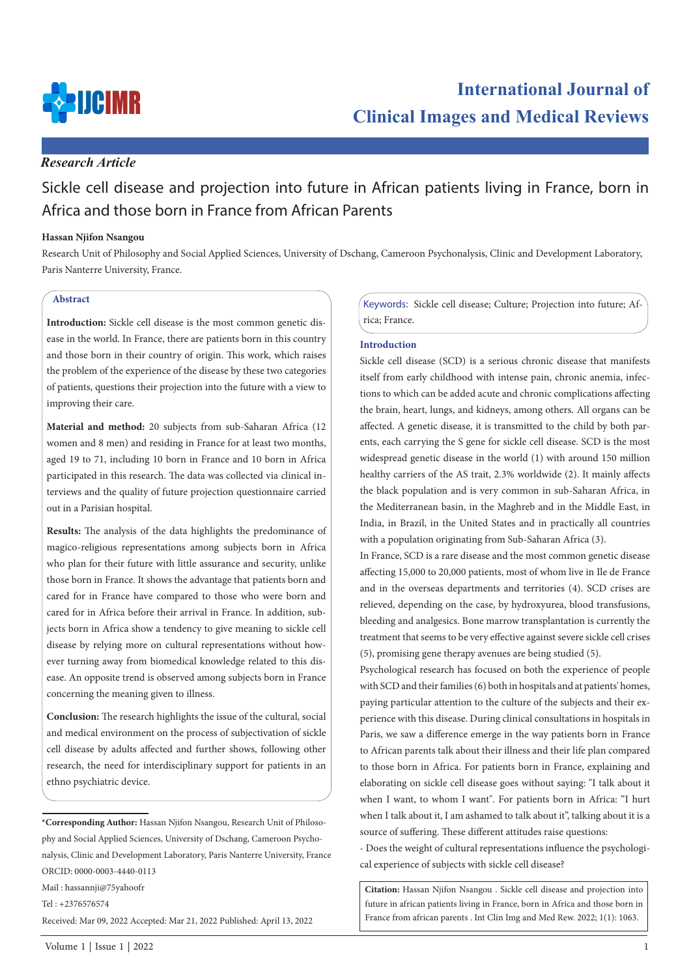

# *Research Article*

# Sickle cell disease and projection into future in African patients living in France, born in Africa and those born in France from African Parents

### **Hassan Njifon Nsangou**

Research Unit of Philosophy and Social Applied Sciences, University of Dschang, Cameroon Psychonalysis, Clinic and Development Laboratory, Paris Nanterre University, France.

# **Abstract**

**Introduction:** Sickle cell disease is the most common genetic disease in the world. In France, there are patients born in this country and those born in their country of origin. This work, which raises the problem of the experience of the disease by these two categories of patients, questions their projection into the future with a view to improving their care.

**Material and method:** 20 subjects from sub-Saharan Africa (12 women and 8 men) and residing in France for at least two months, aged 19 to 71, including 10 born in France and 10 born in Africa participated in this research. The data was collected via clinical interviews and the quality of future projection questionnaire carried out in a Parisian hospital.

**Results:** The analysis of the data highlights the predominance of magico-religious representations among subjects born in Africa who plan for their future with little assurance and security, unlike those born in France. It shows the advantage that patients born and cared for in France have compared to those who were born and cared for in Africa before their arrival in France. In addition, subjects born in Africa show a tendency to give meaning to sickle cell disease by relying more on cultural representations without however turning away from biomedical knowledge related to this disease. An opposite trend is observed among subjects born in France concerning the meaning given to illness.

**Conclusion:** The research highlights the issue of the cultural, social and medical environment on the process of subjectivation of sickle cell disease by adults affected and further shows, following other research, the need for interdisciplinary support for patients in an ethno psychiatric device.

**\*Corresponding Author:** Hassan Njifon Nsangou, Research Unit of Philosophy and Social Applied Sciences, University of Dschang, Cameroon Psychonalysis, Clinic and Development Laboratory, Paris Nanterre University, France ORCID: 0000-0003-4440-0113

Mail : hassannji@75yahoofr

Tel : +2376576574

Received: Mar 09, 2022 Accepted: Mar 21, 2022 Published: April 13, 2022

Keywords: Sickle cell disease; Culture; Projection into future; Africa; France.

### **Introduction**

Sickle cell disease (SCD) is a serious chronic disease that manifests itself from early childhood with intense pain, chronic anemia, infections to which can be added acute and chronic complications affecting the brain, heart, lungs, and kidneys, among others. All organs can be affected. A genetic disease, it is transmitted to the child by both parents, each carrying the S gene for sickle cell disease. SCD is the most widespread genetic disease in the world (1) with around 150 million healthy carriers of the AS trait, 2.3% worldwide (2). It mainly affects the black population and is very common in sub-Saharan Africa, in the Mediterranean basin, in the Maghreb and in the Middle East, in India, in Brazil, in the United States and in practically all countries with a population originating from Sub-Saharan Africa (3).

In France, SCD is a rare disease and the most common genetic disease affecting 15,000 to 20,000 patients, most of whom live in Ile de France and in the overseas departments and territories (4). SCD crises are relieved, depending on the case, by hydroxyurea, blood transfusions, bleeding and analgesics. Bone marrow transplantation is currently the treatment that seems to be very effective against severe sickle cell crises (5), promising gene therapy avenues are being studied (5).

Psychological research has focused on both the experience of people with SCD and their families (6) both in hospitals and at patients' homes, paying particular attention to the culture of the subjects and their experience with this disease. During clinical consultations in hospitals in Paris, we saw a difference emerge in the way patients born in France to African parents talk about their illness and their life plan compared to those born in Africa. For patients born in France, explaining and elaborating on sickle cell disease goes without saying: "I talk about it when I want, to whom I want". For patients born in Africa: "I hurt when I talk about it, I am ashamed to talk about it", talking about it is a source of suffering. These different attitudes raise questions:

- Does the weight of cultural representations influence the psychological experience of subjects with sickle cell disease?

**Citation:** Hassan Njifon Nsangou . Sickle cell disease and projection into future in african patients living in France, born in Africa and those born in France from african parents . Int Clin Img and Med Rew. 2022; 1(1): 1063.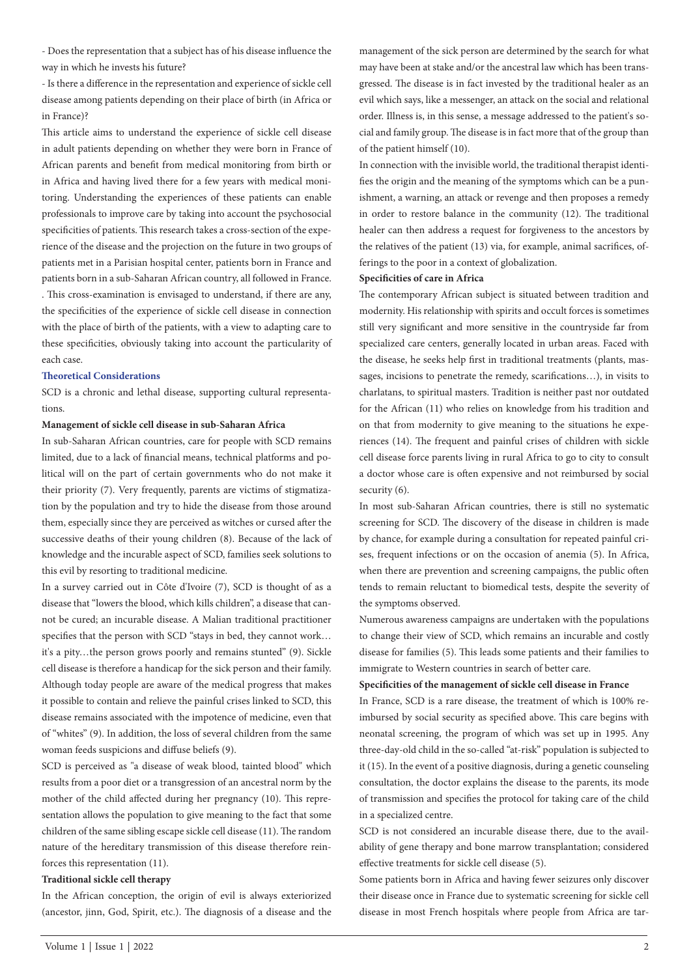- Does the representation that a subject has of his disease influence the way in which he invests his future?

- Is there a difference in the representation and experience of sickle cell disease among patients depending on their place of birth (in Africa or in France)?

This article aims to understand the experience of sickle cell disease in adult patients depending on whether they were born in France of African parents and benefit from medical monitoring from birth or in Africa and having lived there for a few years with medical monitoring. Understanding the experiences of these patients can enable professionals to improve care by taking into account the psychosocial specificities of patients. This research takes a cross-section of the experience of the disease and the projection on the future in two groups of patients met in a Parisian hospital center, patients born in France and patients born in a sub-Saharan African country, all followed in France. . This cross-examination is envisaged to understand, if there are any, the specificities of the experience of sickle cell disease in connection with the place of birth of the patients, with a view to adapting care to these specificities, obviously taking into account the particularity of each case.

## **Theoretical Considerations**

SCD is a chronic and lethal disease, supporting cultural representations.

## **Management of sickle cell disease in sub-Saharan Africa**

In sub-Saharan African countries, care for people with SCD remains limited, due to a lack of financial means, technical platforms and political will on the part of certain governments who do not make it their priority (7). Very frequently, parents are victims of stigmatization by the population and try to hide the disease from those around them, especially since they are perceived as witches or cursed after the successive deaths of their young children (8). Because of the lack of knowledge and the incurable aspect of SCD, families seek solutions to this evil by resorting to traditional medicine.

In a survey carried out in Côte d'Ivoire (7), SCD is thought of as a disease that "lowers the blood, which kills children", a disease that cannot be cured; an incurable disease. A Malian traditional practitioner specifies that the person with SCD "stays in bed, they cannot work… it's a pity…the person grows poorly and remains stunted" (9). Sickle cell disease is therefore a handicap for the sick person and their family. Although today people are aware of the medical progress that makes it possible to contain and relieve the painful crises linked to SCD, this disease remains associated with the impotence of medicine, even that of "whites" (9). In addition, the loss of several children from the same woman feeds suspicions and diffuse beliefs (9).

SCD is perceived as "a disease of weak blood, tainted blood" which results from a poor diet or a transgression of an ancestral norm by the mother of the child affected during her pregnancy (10). This representation allows the population to give meaning to the fact that some children of the same sibling escape sickle cell disease (11). The random nature of the hereditary transmission of this disease therefore reinforces this representation (11).

### **Traditional sickle cell therapy**

In the African conception, the origin of evil is always exteriorized (ancestor, jinn, God, Spirit, etc.). The diagnosis of a disease and the

management of the sick person are determined by the search for what may have been at stake and/or the ancestral law which has been transgressed. The disease is in fact invested by the traditional healer as an evil which says, like a messenger, an attack on the social and relational order. Illness is, in this sense, a message addressed to the patient's social and family group. The disease is in fact more that of the group than of the patient himself (10).

In connection with the invisible world, the traditional therapist identifies the origin and the meaning of the symptoms which can be a punishment, a warning, an attack or revenge and then proposes a remedy in order to restore balance in the community (12). The traditional healer can then address a request for forgiveness to the ancestors by the relatives of the patient (13) via, for example, animal sacrifices, offerings to the poor in a context of globalization.

### **Specificities of care in Africa**

The contemporary African subject is situated between tradition and modernity. His relationship with spirits and occult forces is sometimes still very significant and more sensitive in the countryside far from specialized care centers, generally located in urban areas. Faced with the disease, he seeks help first in traditional treatments (plants, massages, incisions to penetrate the remedy, scarifications…), in visits to charlatans, to spiritual masters. Tradition is neither past nor outdated for the African (11) who relies on knowledge from his tradition and on that from modernity to give meaning to the situations he experiences (14). The frequent and painful crises of children with sickle cell disease force parents living in rural Africa to go to city to consult a doctor whose care is often expensive and not reimbursed by social security (6).

In most sub-Saharan African countries, there is still no systematic screening for SCD. The discovery of the disease in children is made by chance, for example during a consultation for repeated painful crises, frequent infections or on the occasion of anemia (5). In Africa, when there are prevention and screening campaigns, the public often tends to remain reluctant to biomedical tests, despite the severity of the symptoms observed.

Numerous awareness campaigns are undertaken with the populations to change their view of SCD, which remains an incurable and costly disease for families (5). This leads some patients and their families to immigrate to Western countries in search of better care.

### **Specificities of the management of sickle cell disease in France**

In France, SCD is a rare disease, the treatment of which is 100% reimbursed by social security as specified above. This care begins with neonatal screening, the program of which was set up in 1995. Any three-day-old child in the so-called "at-risk" population is subjected to it (15). In the event of a positive diagnosis, during a genetic counseling consultation, the doctor explains the disease to the parents, its mode of transmission and specifies the protocol for taking care of the child in a specialized centre.

SCD is not considered an incurable disease there, due to the availability of gene therapy and bone marrow transplantation; considered effective treatments for sickle cell disease (5).

Some patients born in Africa and having fewer seizures only discover their disease once in France due to systematic screening for sickle cell disease in most French hospitals where people from Africa are tar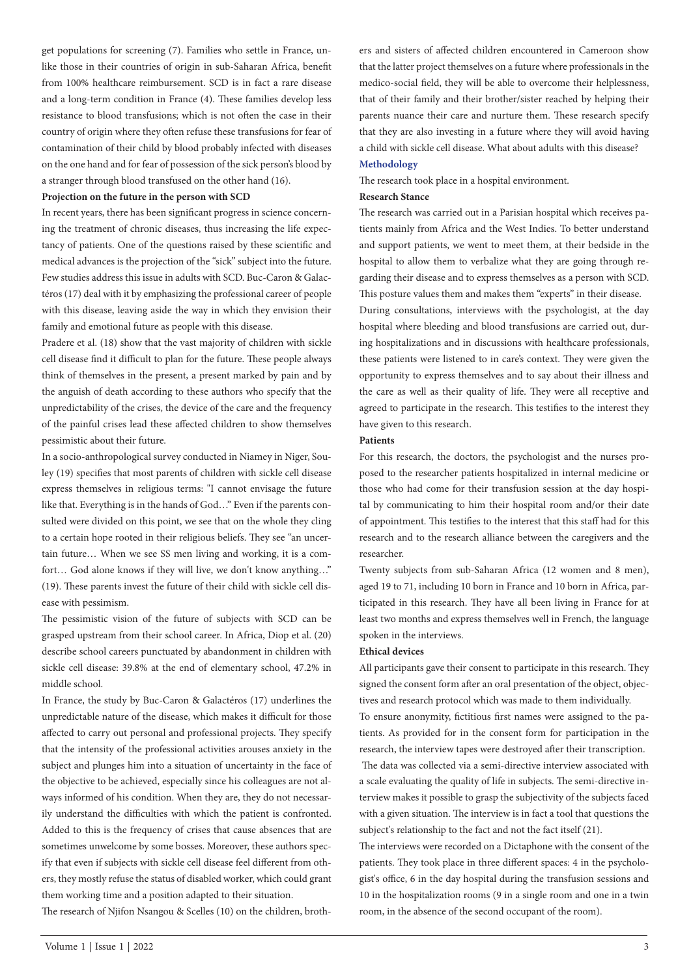get populations for screening (7). Families who settle in France, unlike those in their countries of origin in sub-Saharan Africa, benefit from 100% healthcare reimbursement. SCD is in fact a rare disease and a long-term condition in France (4). These families develop less resistance to blood transfusions; which is not often the case in their country of origin where they often refuse these transfusions for fear of contamination of their child by blood probably infected with diseases on the one hand and for fear of possession of the sick person's blood by a stranger through blood transfused on the other hand (16).

### **Projection on the future in the person with SCD**

In recent years, there has been significant progress in science concerning the treatment of chronic diseases, thus increasing the life expectancy of patients. One of the questions raised by these scientific and medical advances is the projection of the "sick" subject into the future. Few studies address this issue in adults with SCD. Buc-Caron & Galactéros (17) deal with it by emphasizing the professional career of people with this disease, leaving aside the way in which they envision their family and emotional future as people with this disease.

Pradere et al. (18) show that the vast majority of children with sickle cell disease find it difficult to plan for the future. These people always think of themselves in the present, a present marked by pain and by the anguish of death according to these authors who specify that the unpredictability of the crises, the device of the care and the frequency of the painful crises lead these affected children to show themselves pessimistic about their future.

In a socio-anthropological survey conducted in Niamey in Niger, Souley (19) specifies that most parents of children with sickle cell disease express themselves in religious terms: "I cannot envisage the future like that. Everything is in the hands of God…" Even if the parents consulted were divided on this point, we see that on the whole they cling to a certain hope rooted in their religious beliefs. They see "an uncertain future… When we see SS men living and working, it is a comfort… God alone knows if they will live, we don't know anything…" (19). These parents invest the future of their child with sickle cell disease with pessimism.

The pessimistic vision of the future of subjects with SCD can be grasped upstream from their school career. In Africa, Diop et al. (20) describe school careers punctuated by abandonment in children with sickle cell disease: 39.8% at the end of elementary school, 47.2% in middle school.

In France, the study by Buc-Caron & Galactéros (17) underlines the unpredictable nature of the disease, which makes it difficult for those affected to carry out personal and professional projects. They specify that the intensity of the professional activities arouses anxiety in the subject and plunges him into a situation of uncertainty in the face of the objective to be achieved, especially since his colleagues are not always informed of his condition. When they are, they do not necessarily understand the difficulties with which the patient is confronted. Added to this is the frequency of crises that cause absences that are sometimes unwelcome by some bosses. Moreover, these authors specify that even if subjects with sickle cell disease feel different from others, they mostly refuse the status of disabled worker, which could grant them working time and a position adapted to their situation. The research of Njifon Nsangou & Scelles (10) on the children, brothers and sisters of affected children encountered in Cameroon show that the latter project themselves on a future where professionals in the medico-social field, they will be able to overcome their helplessness, that of their family and their brother/sister reached by helping their parents nuance their care and nurture them. These research specify that they are also investing in a future where they will avoid having a child with sickle cell disease. What about adults with this disease? **Methodology**

The research took place in a hospital environment.

# **Research Stance**

The research was carried out in a Parisian hospital which receives patients mainly from Africa and the West Indies. To better understand and support patients, we went to meet them, at their bedside in the hospital to allow them to verbalize what they are going through regarding their disease and to express themselves as a person with SCD. This posture values them and makes them "experts" in their disease.

During consultations, interviews with the psychologist, at the day hospital where bleeding and blood transfusions are carried out, during hospitalizations and in discussions with healthcare professionals, these patients were listened to in care's context. They were given the opportunity to express themselves and to say about their illness and the care as well as their quality of life. They were all receptive and agreed to participate in the research. This testifies to the interest they have given to this research.

### **Patients**

For this research, the doctors, the psychologist and the nurses proposed to the researcher patients hospitalized in internal medicine or those who had come for their transfusion session at the day hospital by communicating to him their hospital room and/or their date of appointment. This testifies to the interest that this staff had for this research and to the research alliance between the caregivers and the researcher.

Twenty subjects from sub-Saharan Africa (12 women and 8 men), aged 19 to 71, including 10 born in France and 10 born in Africa, participated in this research. They have all been living in France for at least two months and express themselves well in French, the language spoken in the interviews.

### **Ethical devices**

All participants gave their consent to participate in this research. They signed the consent form after an oral presentation of the object, objectives and research protocol which was made to them individually.

To ensure anonymity, fictitious first names were assigned to the patients. As provided for in the consent form for participation in the research, the interview tapes were destroyed after their transcription.

 The data was collected via a semi-directive interview associated with a scale evaluating the quality of life in subjects. The semi-directive interview makes it possible to grasp the subjectivity of the subjects faced with a given situation. The interview is in fact a tool that questions the subject's relationship to the fact and not the fact itself (21).

The interviews were recorded on a Dictaphone with the consent of the patients. They took place in three different spaces: 4 in the psychologist's office, 6 in the day hospital during the transfusion sessions and 10 in the hospitalization rooms (9 in a single room and one in a twin room, in the absence of the second occupant of the room).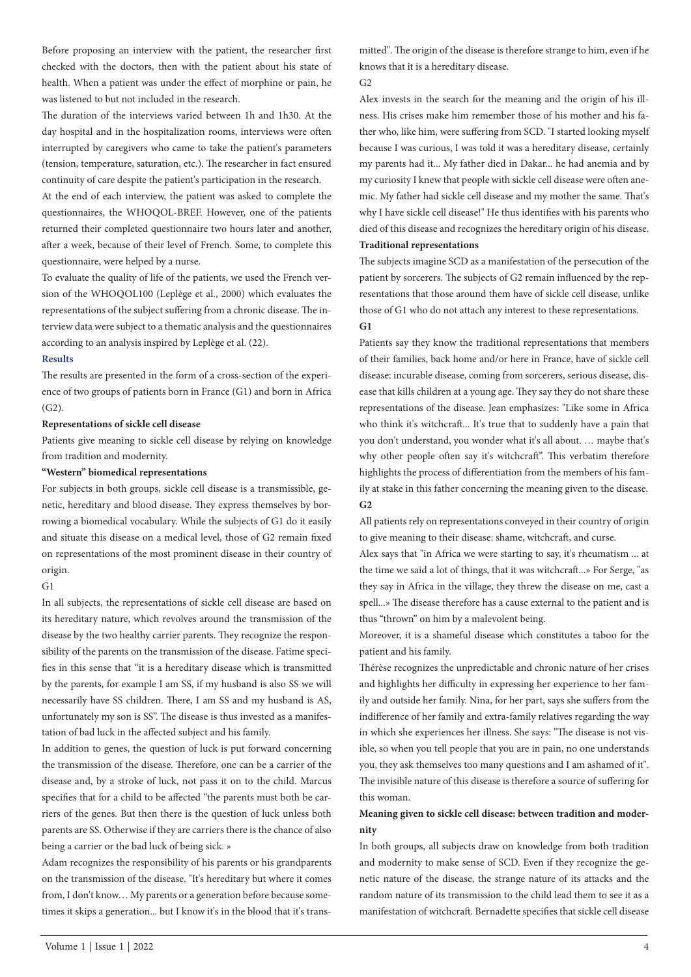Before proposing an interview with the patient, the researcher first checked with the doctors, then with the patient about his state of health. When a patient was under the effect of morphine or pain, he was listened to but not included in the research.

The duration of the interviews varied between 1h and 1h30. At the day hospital and in the hospitalization rooms, interviews were often interrupted by caregivers who came to take the patient's parameters (tension, temperature, saturation, etc.). The researcher in fact ensured continuity of care despite the patient's participation in the research.

At the end of each interview, the patient was asked to complete the questionnaires, the WHOQOL-BREF. However, one of the patients returned their completed questionnaire two hours later and another, after a week, because of their level of French. Some, to complete this questionnaire, were helped by a nurse.

To evaluate the quality of life of the patients, we used the French version of the WHOQOL100 (Leplège et al., 2000) which evaluates the representations of the subject suffering from a chronic disease. The interview data were subject to a thematic analysis and the questionnaires according to an analysis inspired by Leplège et al. (22).

### **Results**

The results are presented in the form of a cross-section of the experience of two groups of patients born in France (G1) and born in Africa  $(G2)$ .

### **Representations of sickle cell disease**

Patients give meaning to sickle cell disease by relying on knowledge from tradition and modernity.

### **"Western" biomedical representations**

For subjects in both groups, sickle cell disease is a transmissible, genetic, hereditary and blood disease. They express themselves by borrowing a biomedical vocabulary. While the subjects of G1 do it easily and situate this disease on a medical level, those of G2 remain fixed on representations of the most prominent disease in their country of origin.

### G1

In all subjects, the representations of sickle cell disease are based on its hereditary nature, which revolves around the transmission of the disease by the two healthy carrier parents. They recognize the responsibility of the parents on the transmission of the disease. Fatime specifies in this sense that "it is a hereditary disease which is transmitted by the parents, for example I am SS, if my husband is also SS we will necessarily have SS children. There, I am SS and my husband is AS, unfortunately my son is SS". The disease is thus invested as a manifestation of bad luck in the affected subject and his family.

In addition to genes, the question of luck is put forward concerning the transmission of the disease. Therefore, one can be a carrier of the disease and, by a stroke of luck, not pass it on to the child. Marcus specifies that for a child to be affected "the parents must both be carriers of the genes. But then there is the question of luck unless both parents are SS. Otherwise if they are carriers there is the chance of also being a carrier or the bad luck of being sick. »

Adam recognizes the responsibility of his parents or his grandparents on the transmission of the disease. "It's hereditary but where it comes from, I don't know… My parents or a generation before because sometimes it skips a generation... but I know it's in the blood that it's transmitted". The origin of the disease is therefore strange to him, even if he knows that it is a hereditary disease.

# $G<sub>2</sub>$

Alex invests in the search for the meaning and the origin of his illness. His crises make him remember those of his mother and his father who, like him, were suffering from SCD. "I started looking myself because I was curious, I was told it was a hereditary disease, certainly my parents had it... My father died in Dakar... he had anemia and by my curiosity I knew that people with sickle cell disease were often anemic. My father had sickle cell disease and my mother the same. That's why I have sickle cell disease!" He thus identifies with his parents who died of this disease and recognizes the hereditary origin of his disease. **Traditional representations**

The subjects imagine SCD as a manifestation of the persecution of the patient by sorcerers. The subjects of G2 remain influenced by the representations that those around them have of sickle cell disease, unlike those of G1 who do not attach any interest to these representations. **G1**

Patients say they know the traditional representations that members of their families, back home and/or here in France, have of sickle cell disease: incurable disease, coming from sorcerers, serious disease, disease that kills children at a young age. They say they do not share these representations of the disease. Jean emphasizes: "Like some in Africa who think it's witchcraft... It's true that to suddenly have a pain that you don't understand, you wonder what it's all about. … maybe that's why other people often say it's witchcraft". This verbatim therefore highlights the process of differentiation from the members of his family at stake in this father concerning the meaning given to the disease. **G2**

All patients rely on representations conveyed in their country of origin to give meaning to their disease: shame, witchcraft, and curse.

Alex says that "in Africa we were starting to say, it's rheumatism ... at the time we said a lot of things, that it was witchcraft...» For Serge, "as they say in Africa in the village, they threw the disease on me, cast a spell...» The disease therefore has a cause external to the patient and is thus "thrown" on him by a malevolent being.

Moreover, it is a shameful disease which constitutes a taboo for the patient and his family.

Thérèse recognizes the unpredictable and chronic nature of her crises and highlights her difficulty in expressing her experience to her family and outside her family. Nina, for her part, says she suffers from the indifference of her family and extra-family relatives regarding the way in which she experiences her illness. She says: "The disease is not visible, so when you tell people that you are in pain, no one understands you, they ask themselves too many questions and I am ashamed of it". The invisible nature of this disease is therefore a source of suffering for this woman.

# **Meaning given to sickle cell disease: between tradition and modernity**

In both groups, all subjects draw on knowledge from both tradition and modernity to make sense of SCD. Even if they recognize the genetic nature of the disease, the strange nature of its attacks and the random nature of its transmission to the child lead them to see it as a manifestation of witchcraft. Bernadette specifies that sickle cell disease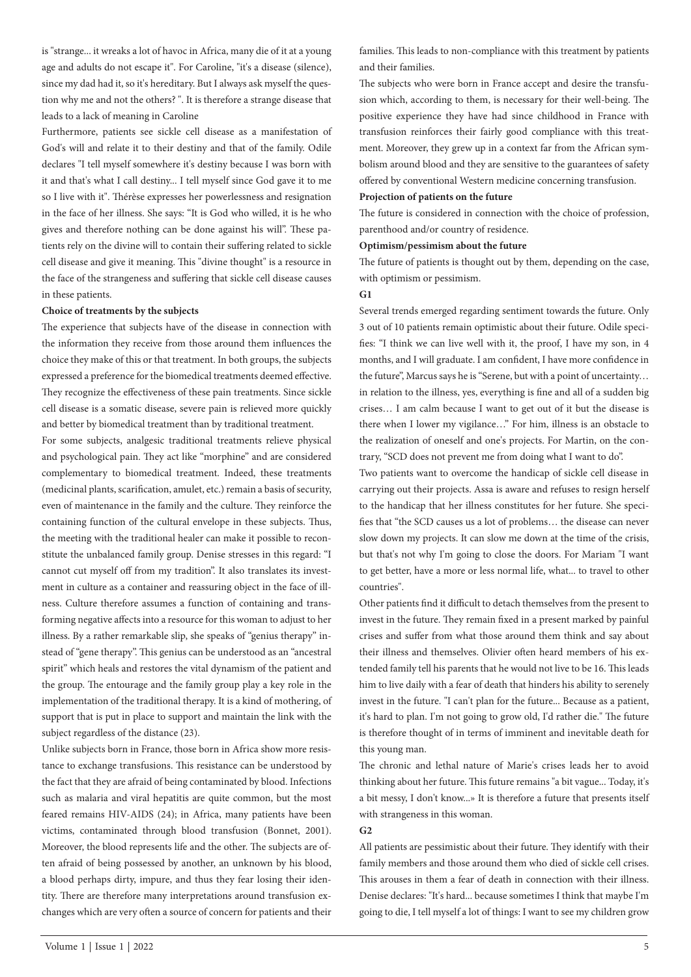is "strange... it wreaks a lot of havoc in Africa, many die of it at a young age and adults do not escape it". For Caroline, "it's a disease (silence), since my dad had it, so it's hereditary. But I always ask myself the question why me and not the others? ". It is therefore a strange disease that leads to a lack of meaning in Caroline

Furthermore, patients see sickle cell disease as a manifestation of God's will and relate it to their destiny and that of the family. Odile declares "I tell myself somewhere it's destiny because I was born with it and that's what I call destiny... I tell myself since God gave it to me so I live with it". Thérèse expresses her powerlessness and resignation in the face of her illness. She says: "It is God who willed, it is he who gives and therefore nothing can be done against his will". These patients rely on the divine will to contain their suffering related to sickle cell disease and give it meaning. This "divine thought" is a resource in the face of the strangeness and suffering that sickle cell disease causes in these patients.

# **Choice of treatments by the subjects**

The experience that subjects have of the disease in connection with the information they receive from those around them influences the choice they make of this or that treatment. In both groups, the subjects expressed a preference for the biomedical treatments deemed effective. They recognize the effectiveness of these pain treatments. Since sickle cell disease is a somatic disease, severe pain is relieved more quickly and better by biomedical treatment than by traditional treatment.

For some subjects, analgesic traditional treatments relieve physical and psychological pain. They act like "morphine" and are considered complementary to biomedical treatment. Indeed, these treatments (medicinal plants, scarification, amulet, etc.) remain a basis of security, even of maintenance in the family and the culture. They reinforce the containing function of the cultural envelope in these subjects. Thus, the meeting with the traditional healer can make it possible to reconstitute the unbalanced family group. Denise stresses in this regard: "I cannot cut myself off from my tradition". It also translates its investment in culture as a container and reassuring object in the face of illness. Culture therefore assumes a function of containing and transforming negative affects into a resource for this woman to adjust to her illness. By a rather remarkable slip, she speaks of "genius therapy" instead of "gene therapy". This genius can be understood as an "ancestral spirit" which heals and restores the vital dynamism of the patient and the group. The entourage and the family group play a key role in the implementation of the traditional therapy. It is a kind of mothering, of support that is put in place to support and maintain the link with the subject regardless of the distance (23).

Unlike subjects born in France, those born in Africa show more resistance to exchange transfusions. This resistance can be understood by the fact that they are afraid of being contaminated by blood. Infections such as malaria and viral hepatitis are quite common, but the most feared remains HIV-AIDS (24); in Africa, many patients have been victims, contaminated through blood transfusion (Bonnet, 2001). Moreover, the blood represents life and the other. The subjects are often afraid of being possessed by another, an unknown by his blood, a blood perhaps dirty, impure, and thus they fear losing their identity. There are therefore many interpretations around transfusion exchanges which are very often a source of concern for patients and their families. This leads to non-compliance with this treatment by patients and their families.

The subjects who were born in France accept and desire the transfusion which, according to them, is necessary for their well-being. The positive experience they have had since childhood in France with transfusion reinforces their fairly good compliance with this treatment. Moreover, they grew up in a context far from the African symbolism around blood and they are sensitive to the guarantees of safety offered by conventional Western medicine concerning transfusion.

### **Projection of patients on the future**

The future is considered in connection with the choice of profession, parenthood and/or country of residence.

#### **Optimism/pessimism about the future**

The future of patients is thought out by them, depending on the case, with optimism or pessimism.

# **G1**

Several trends emerged regarding sentiment towards the future. Only 3 out of 10 patients remain optimistic about their future. Odile specifies: "I think we can live well with it, the proof, I have my son, in 4 months, and I will graduate. I am confident, I have more confidence in the future", Marcus says he is "Serene, but with a point of uncertainty… in relation to the illness, yes, everything is fine and all of a sudden big crises… I am calm because I want to get out of it but the disease is there when I lower my vigilance…" For him, illness is an obstacle to the realization of oneself and one's projects. For Martin, on the contrary, "SCD does not prevent me from doing what I want to do".

Two patients want to overcome the handicap of sickle cell disease in carrying out their projects. Assa is aware and refuses to resign herself to the handicap that her illness constitutes for her future. She specifies that "the SCD causes us a lot of problems… the disease can never slow down my projects. It can slow me down at the time of the crisis, but that's not why I'm going to close the doors. For Mariam "I want to get better, have a more or less normal life, what... to travel to other countries".

Other patients find it difficult to detach themselves from the present to invest in the future. They remain fixed in a present marked by painful crises and suffer from what those around them think and say about their illness and themselves. Olivier often heard members of his extended family tell his parents that he would not live to be 16. This leads him to live daily with a fear of death that hinders his ability to serenely invest in the future. "I can't plan for the future... Because as a patient, it's hard to plan. I'm not going to grow old, I'd rather die." The future is therefore thought of in terms of imminent and inevitable death for this young man.

The chronic and lethal nature of Marie's crises leads her to avoid thinking about her future. This future remains "a bit vague... Today, it's a bit messy, I don't know...» It is therefore a future that presents itself with strangeness in this woman.

### **G2**

All patients are pessimistic about their future. They identify with their family members and those around them who died of sickle cell crises. This arouses in them a fear of death in connection with their illness. Denise declares: "It's hard... because sometimes I think that maybe I'm going to die, I tell myself a lot of things: I want to see my children grow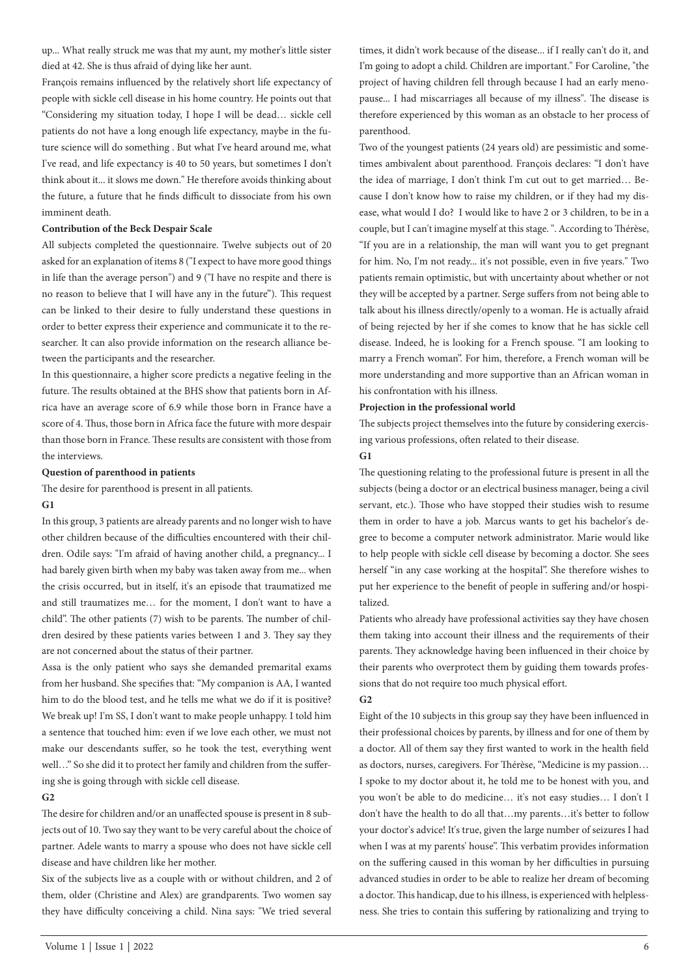up... What really struck me was that my aunt, my mother's little sister died at 42. She is thus afraid of dying like her aunt.

François remains influenced by the relatively short life expectancy of people with sickle cell disease in his home country. He points out that "Considering my situation today, I hope I will be dead… sickle cell patients do not have a long enough life expectancy, maybe in the future science will do something . But what I've heard around me, what I've read, and life expectancy is 40 to 50 years, but sometimes I don't think about it... it slows me down." He therefore avoids thinking about the future, a future that he finds difficult to dissociate from his own imminent death.

## **Contribution of the Beck Despair Scale**

All subjects completed the questionnaire. Twelve subjects out of 20 asked for an explanation of items 8 ("I expect to have more good things in life than the average person") and 9 ("I have no respite and there is no reason to believe that I will have any in the future"). This request can be linked to their desire to fully understand these questions in order to better express their experience and communicate it to the researcher. It can also provide information on the research alliance between the participants and the researcher.

In this questionnaire, a higher score predicts a negative feeling in the future. The results obtained at the BHS show that patients born in Africa have an average score of 6.9 while those born in France have a score of 4. Thus, those born in Africa face the future with more despair than those born in France. These results are consistent with those from the interviews.

### **Question of parenthood in patients**

The desire for parenthood is present in all patients.

#### **G1**

In this group, 3 patients are already parents and no longer wish to have other children because of the difficulties encountered with their children. Odile says: "I'm afraid of having another child, a pregnancy... I had barely given birth when my baby was taken away from me... when the crisis occurred, but in itself, it's an episode that traumatized me and still traumatizes me… for the moment, I don't want to have a child". The other patients (7) wish to be parents. The number of children desired by these patients varies between 1 and 3. They say they are not concerned about the status of their partner.

Assa is the only patient who says she demanded premarital exams from her husband. She specifies that: "My companion is AA, I wanted him to do the blood test, and he tells me what we do if it is positive? We break up! I'm SS, I don't want to make people unhappy. I told him a sentence that touched him: even if we love each other, we must not make our descendants suffer, so he took the test, everything went well…" So she did it to protect her family and children from the suffering she is going through with sickle cell disease.

### **G2**

The desire for children and/or an unaffected spouse is present in 8 subjects out of 10. Two say they want to be very careful about the choice of partner. Adele wants to marry a spouse who does not have sickle cell disease and have children like her mother.

Six of the subjects live as a couple with or without children, and 2 of them, older (Christine and Alex) are grandparents. Two women say they have difficulty conceiving a child. Nina says: "We tried several

times, it didn't work because of the disease... if I really can't do it, and I'm going to adopt a child. Children are important." For Caroline, "the project of having children fell through because I had an early menopause... I had miscarriages all because of my illness". The disease is therefore experienced by this woman as an obstacle to her process of parenthood.

Two of the youngest patients (24 years old) are pessimistic and sometimes ambivalent about parenthood. François declares: "I don't have the idea of marriage, I don't think I'm cut out to get married… Because I don't know how to raise my children, or if they had my disease, what would I do? I would like to have 2 or 3 children, to be in a couple, but I can't imagine myself at this stage. ". According to Thérèse, "If you are in a relationship, the man will want you to get pregnant for him. No, I'm not ready... it's not possible, even in five years." Two patients remain optimistic, but with uncertainty about whether or not they will be accepted by a partner. Serge suffers from not being able to talk about his illness directly/openly to a woman. He is actually afraid of being rejected by her if she comes to know that he has sickle cell disease. Indeed, he is looking for a French spouse. "I am looking to marry a French woman". For him, therefore, a French woman will be more understanding and more supportive than an African woman in his confrontation with his illness.

### **Projection in the professional world**

The subjects project themselves into the future by considering exercising various professions, often related to their disease.

## **G1**

The questioning relating to the professional future is present in all the subjects (being a doctor or an electrical business manager, being a civil servant, etc.). Those who have stopped their studies wish to resume them in order to have a job. Marcus wants to get his bachelor's degree to become a computer network administrator. Marie would like to help people with sickle cell disease by becoming a doctor. She sees herself "in any case working at the hospital". She therefore wishes to put her experience to the benefit of people in suffering and/or hospitalized.

Patients who already have professional activities say they have chosen them taking into account their illness and the requirements of their parents. They acknowledge having been influenced in their choice by their parents who overprotect them by guiding them towards professions that do not require too much physical effort.

#### **G2**

Eight of the 10 subjects in this group say they have been influenced in their professional choices by parents, by illness and for one of them by a doctor. All of them say they first wanted to work in the health field as doctors, nurses, caregivers. For Thérèse, "Medicine is my passion… I spoke to my doctor about it, he told me to be honest with you, and you won't be able to do medicine… it's not easy studies… I don't I don't have the health to do all that…my parents…it's better to follow your doctor's advice! It's true, given the large number of seizures I had when I was at my parents' house". This verbatim provides information on the suffering caused in this woman by her difficulties in pursuing advanced studies in order to be able to realize her dream of becoming a doctor. This handicap, due to his illness, is experienced with helplessness. She tries to contain this suffering by rationalizing and trying to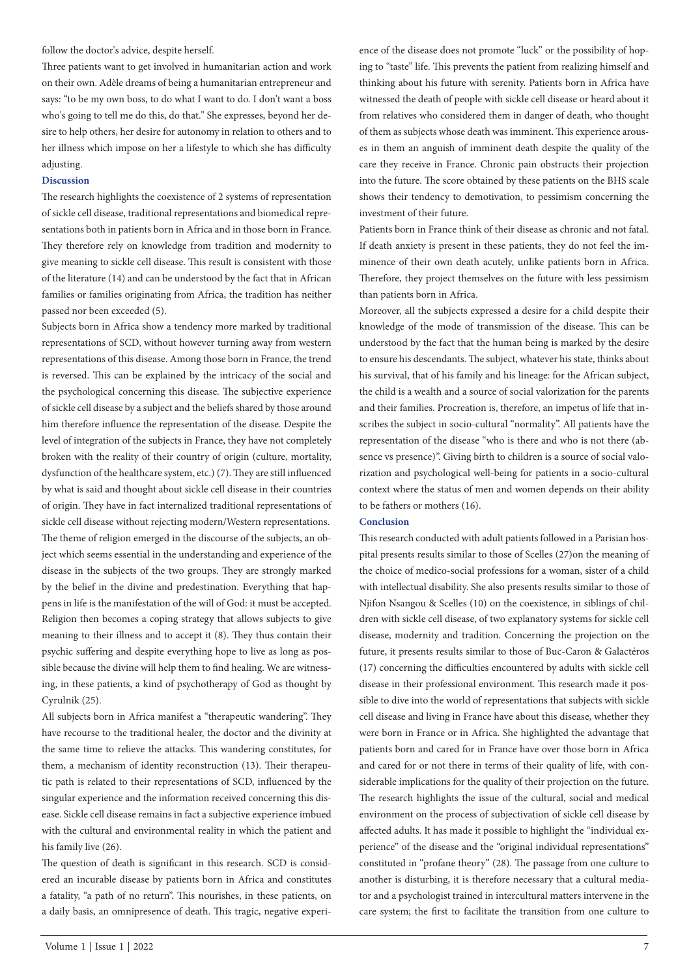follow the doctor's advice, despite herself.

Three patients want to get involved in humanitarian action and work on their own. Adèle dreams of being a humanitarian entrepreneur and says: "to be my own boss, to do what I want to do. I don't want a boss who's going to tell me do this, do that." She expresses, beyond her desire to help others, her desire for autonomy in relation to others and to her illness which impose on her a lifestyle to which she has difficulty adjusting.

### **Discussion**

The research highlights the coexistence of 2 systems of representation of sickle cell disease, traditional representations and biomedical representations both in patients born in Africa and in those born in France. They therefore rely on knowledge from tradition and modernity to give meaning to sickle cell disease. This result is consistent with those of the literature (14) and can be understood by the fact that in African families or families originating from Africa, the tradition has neither passed nor been exceeded (5).

Subjects born in Africa show a tendency more marked by traditional representations of SCD, without however turning away from western representations of this disease. Among those born in France, the trend is reversed. This can be explained by the intricacy of the social and the psychological concerning this disease. The subjective experience of sickle cell disease by a subject and the beliefs shared by those around him therefore influence the representation of the disease. Despite the level of integration of the subjects in France, they have not completely broken with the reality of their country of origin (culture, mortality, dysfunction of the healthcare system, etc.) (7). They are still influenced by what is said and thought about sickle cell disease in their countries of origin. They have in fact internalized traditional representations of sickle cell disease without rejecting modern/Western representations. The theme of religion emerged in the discourse of the subjects, an object which seems essential in the understanding and experience of the disease in the subjects of the two groups. They are strongly marked by the belief in the divine and predestination. Everything that happens in life is the manifestation of the will of God: it must be accepted. Religion then becomes a coping strategy that allows subjects to give meaning to their illness and to accept it (8). They thus contain their psychic suffering and despite everything hope to live as long as possible because the divine will help them to find healing. We are witnessing, in these patients, a kind of psychotherapy of God as thought by Cyrulnik (25).

All subjects born in Africa manifest a "therapeutic wandering". They have recourse to the traditional healer, the doctor and the divinity at the same time to relieve the attacks. This wandering constitutes, for them, a mechanism of identity reconstruction (13). Their therapeutic path is related to their representations of SCD, influenced by the singular experience and the information received concerning this disease. Sickle cell disease remains in fact a subjective experience imbued with the cultural and environmental reality in which the patient and his family live (26).

The question of death is significant in this research. SCD is considered an incurable disease by patients born in Africa and constitutes a fatality, "a path of no return". This nourishes, in these patients, on a daily basis, an omnipresence of death. This tragic, negative experience of the disease does not promote "luck" or the possibility of hoping to "taste" life. This prevents the patient from realizing himself and thinking about his future with serenity. Patients born in Africa have witnessed the death of people with sickle cell disease or heard about it from relatives who considered them in danger of death, who thought of them as subjects whose death was imminent. This experience arouses in them an anguish of imminent death despite the quality of the care they receive in France. Chronic pain obstructs their projection into the future. The score obtained by these patients on the BHS scale shows their tendency to demotivation, to pessimism concerning the investment of their future.

Patients born in France think of their disease as chronic and not fatal. If death anxiety is present in these patients, they do not feel the imminence of their own death acutely, unlike patients born in Africa. Therefore, they project themselves on the future with less pessimism than patients born in Africa.

Moreover, all the subjects expressed a desire for a child despite their knowledge of the mode of transmission of the disease. This can be understood by the fact that the human being is marked by the desire to ensure his descendants. The subject, whatever his state, thinks about his survival, that of his family and his lineage: for the African subject, the child is a wealth and a source of social valorization for the parents and their families. Procreation is, therefore, an impetus of life that inscribes the subject in socio-cultural "normality". All patients have the representation of the disease "who is there and who is not there (absence vs presence)". Giving birth to children is a source of social valorization and psychological well-being for patients in a socio-cultural context where the status of men and women depends on their ability to be fathers or mothers (16).

#### **Conclusion**

This research conducted with adult patients followed in a Parisian hospital presents results similar to those of Scelles (27)on the meaning of the choice of medico-social professions for a woman, sister of a child with intellectual disability. She also presents results similar to those of Njifon Nsangou & Scelles (10) on the coexistence, in siblings of children with sickle cell disease, of two explanatory systems for sickle cell disease, modernity and tradition. Concerning the projection on the future, it presents results similar to those of Buc-Caron & Galactéros (17) concerning the difficulties encountered by adults with sickle cell disease in their professional environment. This research made it possible to dive into the world of representations that subjects with sickle cell disease and living in France have about this disease, whether they were born in France or in Africa. She highlighted the advantage that patients born and cared for in France have over those born in Africa and cared for or not there in terms of their quality of life, with considerable implications for the quality of their projection on the future. The research highlights the issue of the cultural, social and medical environment on the process of subjectivation of sickle cell disease by affected adults. It has made it possible to highlight the "individual experience" of the disease and the "original individual representations" constituted in "profane theory" (28). The passage from one culture to another is disturbing, it is therefore necessary that a cultural mediator and a psychologist trained in intercultural matters intervene in the care system; the first to facilitate the transition from one culture to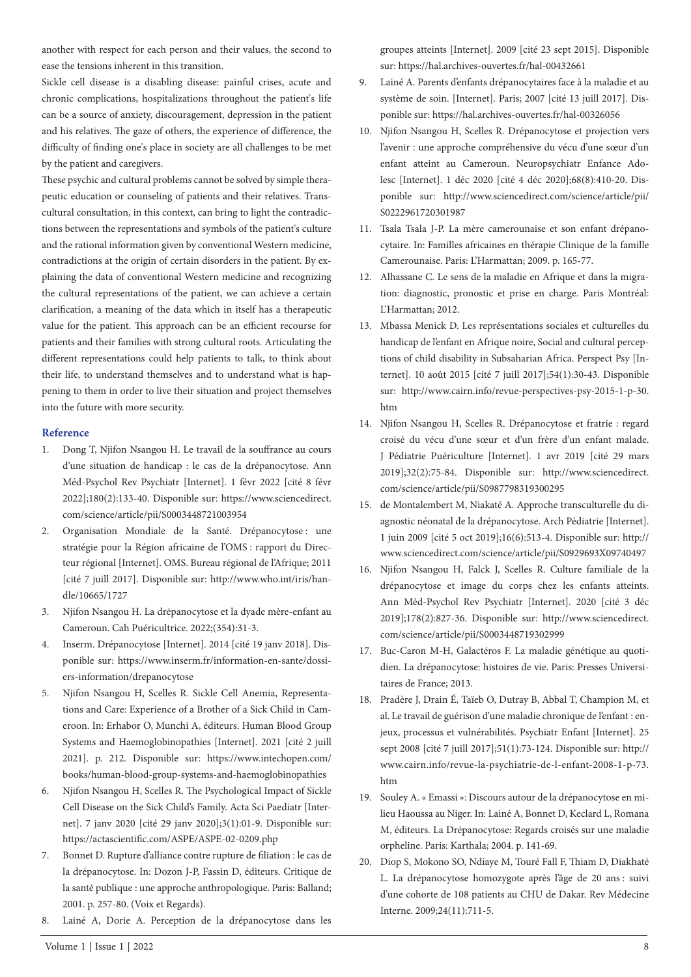another with respect for each person and their values, the second to ease the tensions inherent in this transition.

Sickle cell disease is a disabling disease: painful crises, acute and chronic complications, hospitalizations throughout the patient's life can be a source of anxiety, discouragement, depression in the patient and his relatives. The gaze of others, the experience of difference, the difficulty of finding one's place in society are all challenges to be met by the patient and caregivers.

These psychic and cultural problems cannot be solved by simple therapeutic education or counseling of patients and their relatives. Transcultural consultation, in this context, can bring to light the contradictions between the representations and symbols of the patient's culture and the rational information given by conventional Western medicine, contradictions at the origin of certain disorders in the patient. By explaining the data of conventional Western medicine and recognizing the cultural representations of the patient, we can achieve a certain clarification, a meaning of the data which in itself has a therapeutic value for the patient. This approach can be an efficient recourse for patients and their families with strong cultural roots. Articulating the different representations could help patients to talk, to think about their life, to understand themselves and to understand what is happening to them in order to live their situation and project themselves into the future with more security.

### **Reference**

- 1. Dong T, Njifon Nsangou H. Le travail de la souffrance au cours d'une situation de handicap : le cas de la drépanocytose. Ann Méd-Psychol Rev Psychiatr [Internet]. 1 févr 2022 [cité 8 févr 2022];180(2):133-40. Disponible sur: https://www.sciencedirect. com/science/article/pii/S0003448721003954
- 2. Organisation Mondiale de la Santé. Drépanocytose : une stratégie pour la Région africaine de l'OMS : rapport du Directeur régional [Internet]. OMS. Bureau régional de l'Afrique; 2011 [cité 7 juill 2017]. Disponible sur: http://www.who.int/iris/handle/10665/1727
- 3. Njifon Nsangou H. La drépanocytose et la dyade mère-enfant au Cameroun. Cah Puéricultrice. 2022;(354):31-3.
- 4. Inserm. Drépanocytose [Internet]. 2014 [cité 19 janv 2018]. Disponible sur: https://www.inserm.fr/information-en-sante/dossiers-information/drepanocytose
- 5. Njifon Nsangou H, Scelles R. Sickle Cell Anemia, Representations and Care: Experience of a Brother of a Sick Child in Cameroon. In: Erhabor O, Munchi A, éditeurs. Human Blood Group Systems and Haemoglobinopathies [Internet]. 2021 [cité 2 juill 2021]. p. 212. Disponible sur: https://www.intechopen.com/ books/human-blood-group-systems-and-haemoglobinopathies
- 6. Njifon Nsangou H, Scelles R. The Psychological Impact of Sickle Cell Disease on the Sick Child's Family. Acta Sci Paediatr [Internet]. 7 janv 2020 [cité 29 janv 2020];3(1):01-9. Disponible sur: https://actascientific.com/ASPE/ASPE-02-0209.php
- 7. Bonnet D. Rupture d'alliance contre rupture de filiation : le cas de la drépanocytose. In: Dozon J-P, Fassin D, éditeurs. Critique de la santé publique : une approche anthropologique. Paris: Balland; 2001. p. 257-80. (Voix et Regards).
- 8. Lainé A, Dorie A. Perception de la drépanocytose dans les

groupes atteints [Internet]. 2009 [cité 23 sept 2015]. Disponible sur: https://hal.archives-ouvertes.fr/hal-00432661

- 9. Lainé A. Parents d'enfants drépanocytaires face à la maladie et au système de soin. [Internet]. Paris; 2007 [cité 13 juill 2017]. Disponible sur: https://hal.archives-ouvertes.fr/hal-00326056
- 10. Njifon Nsangou H, Scelles R. Drépanocytose et projection vers l'avenir : une approche compréhensive du vécu d'une sœur d'un enfant atteint au Cameroun. Neuropsychiatr Enfance Adolesc [Internet]. 1 déc 2020 [cité 4 déc 2020];68(8):410-20. Disponible sur: http://www.sciencedirect.com/science/article/pii/ S0222961720301987
- 11. Tsala Tsala J-P. La mère camerounaise et son enfant drépanocytaire. In: Familles africaines en thérapie Clinique de la famille Camerounaise. Paris: L'Harmattan; 2009. p. 165-77.
- 12. Alhassane C. Le sens de la maladie en Afrique et dans la migration: diagnostic, pronostic et prise en charge. Paris Montréal: L'Harmattan; 2012.
- 13. Mbassa Menick D. Les représentations sociales et culturelles du handicap de l'enfant en Afrique noire, Social and cultural perceptions of child disability in Subsaharian Africa. Perspect Psy [Internet]. 10 août 2015 [cité 7 juill 2017];54(1):30-43. Disponible sur: http://www.cairn.info/revue-perspectives-psy-2015-1-p-30. htm
- 14. Njifon Nsangou H, Scelles R. Drépanocytose et fratrie : regard croisé du vécu d'une sœur et d'un frère d'un enfant malade. J Pédiatrie Puériculture [Internet]. 1 avr 2019 [cité 29 mars 2019];32(2):75-84. Disponible sur: http://www.sciencedirect. com/science/article/pii/S0987798319300295
- 15. de Montalembert M, Niakaté A. Approche transculturelle du diagnostic néonatal de la drépanocytose. Arch Pédiatrie [Internet]. 1 juin 2009 [cité 5 oct 2019];16(6):513-4. Disponible sur: http:// www.sciencedirect.com/science/article/pii/S0929693X09740497
- 16. Njifon Nsangou H, Falck J, Scelles R. Culture familiale de la drépanocytose et image du corps chez les enfants atteints. Ann Méd-Psychol Rev Psychiatr [Internet]. 2020 [cité 3 déc 2019];178(2):827-36. Disponible sur: http://www.sciencedirect. com/science/article/pii/S0003448719302999
- 17. Buc-Caron M-H, Galactéros F. La maladie génétique au quotidien. La drépanocytose: histoires de vie. Paris: Presses Universitaires de France; 2013.
- 18. Pradère J, Drain É, Taïeb O, Dutray B, Abbal T, Champion M, et al. Le travail de guérison d'une maladie chronique de l'enfant : enjeux, processus et vulnérabilités. Psychiatr Enfant [Internet]. 25 sept 2008 [cité 7 juill 2017];51(1):73-124. Disponible sur: http:// www.cairn.info/revue-la-psychiatrie-de-l-enfant-2008-1-p-73. htm
- 19. Souley A. « Emassi »: Discours autour de la drépanocytose en milieu Haoussa au Niger. In: Lainé A, Bonnet D, Keclard L, Romana M, éditeurs. La Drépanocytose: Regards croisés sur une maladie orpheline. Paris: Karthala; 2004. p. 141-69.
- 20. Diop S, Mokono SO, Ndiaye M, Touré Fall F, Thiam D, Diakhaté L. La drépanocytose homozygote après l'âge de 20 ans : suivi d'une cohorte de 108 patients au CHU de Dakar. Rev Médecine Interne. 2009;24(11):711-5.